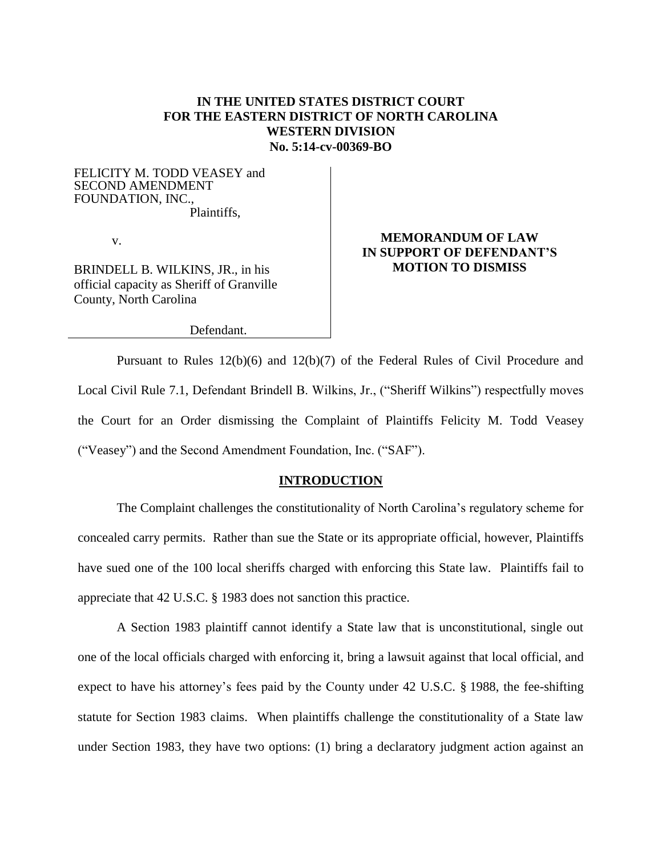### **IN THE UNITED STATES DISTRICT COURT FOR THE EASTERN DISTRICT OF NORTH CAROLINA WESTERN DIVISION No. 5:14-cv-00369-BO**

FELICITY M. TODD VEASEY and SECOND AMENDMENT FOUNDATION, INC., Plaintiffs,

v.

BRINDELL B. WILKINS, JR., in his official capacity as Sheriff of Granville County, North Carolina

### **MEMORANDUM OF LAW IN SUPPORT OF DEFENDANT'S MOTION TO DISMISS**

Defendant.

Pursuant to Rules 12(b)(6) and 12(b)(7) of the Federal Rules of Civil Procedure and Local Civil Rule 7.1, Defendant Brindell B. Wilkins, Jr., ("Sheriff Wilkins") respectfully moves the Court for an Order dismissing the Complaint of Plaintiffs Felicity M. Todd Veasey ("Veasey") and the Second Amendment Foundation, Inc. ("SAF").

#### **INTRODUCTION**

The Complaint challenges the constitutionality of North Carolina's regulatory scheme for concealed carry permits. Rather than sue the State or its appropriate official, however, Plaintiffs have sued one of the 100 local sheriffs charged with enforcing this State law. Plaintiffs fail to appreciate that 42 U.S.C. § 1983 does not sanction this practice.

A Section 1983 plaintiff cannot identify a State law that is unconstitutional, single out one of the local officials charged with enforcing it, bring a lawsuit against that local official, and expect to have his attorney's fees paid by the County under 42 U.S.C. § 1988, the fee-shifting statute for Section 1983 claims. When plaintiffs challenge the constitutionality of a State law under Section 1983, they have two options: (1) bring a declaratory judgment action against an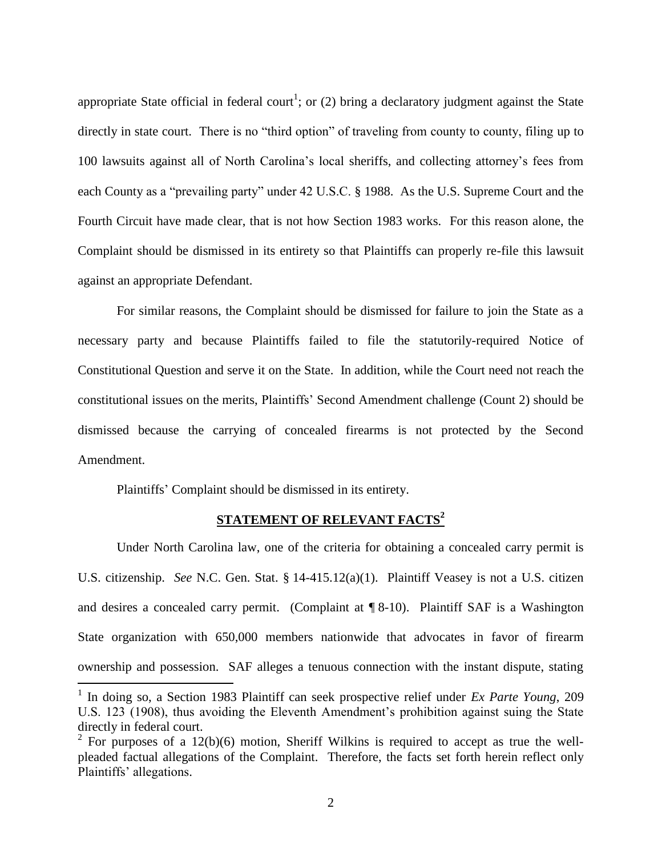appropriate State official in federal court<sup>1</sup>; or (2) bring a declaratory judgment against the State directly in state court. There is no "third option" of traveling from county to county, filing up to 100 lawsuits against all of North Carolina's local sheriffs, and collecting attorney's fees from each County as a "prevailing party" under 42 U.S.C. § 1988. As the U.S. Supreme Court and the Fourth Circuit have made clear, that is not how Section 1983 works. For this reason alone, the Complaint should be dismissed in its entirety so that Plaintiffs can properly re-file this lawsuit against an appropriate Defendant.

For similar reasons, the Complaint should be dismissed for failure to join the State as a necessary party and because Plaintiffs failed to file the statutorily-required Notice of Constitutional Question and serve it on the State. In addition, while the Court need not reach the constitutional issues on the merits, Plaintiffs' Second Amendment challenge (Count 2) should be dismissed because the carrying of concealed firearms is not protected by the Second Amendment.

Plaintiffs' Complaint should be dismissed in its entirety.

 $\overline{a}$ 

## **STATEMENT OF RELEVANT FACTS<sup>2</sup>**

Under North Carolina law, one of the criteria for obtaining a concealed carry permit is U.S. citizenship. *See* N.C. Gen. Stat. § 14-415.12(a)(1). Plaintiff Veasey is not a U.S. citizen and desires a concealed carry permit. (Complaint at ¶ 8-10). Plaintiff SAF is a Washington State organization with 650,000 members nationwide that advocates in favor of firearm ownership and possession. SAF alleges a tenuous connection with the instant dispute, stating

<sup>&</sup>lt;sup>1</sup> In doing so, a Section 1983 Plaintiff can seek prospective relief under *Ex Parte Young*, 209 U.S. 123 (1908), thus avoiding the Eleventh Amendment's prohibition against suing the State directly in federal court.

<sup>&</sup>lt;sup>2</sup> For purposes of a 12(b)(6) motion, Sheriff Wilkins is required to accept as true the wellpleaded factual allegations of the Complaint. Therefore, the facts set forth herein reflect only Plaintiffs' allegations.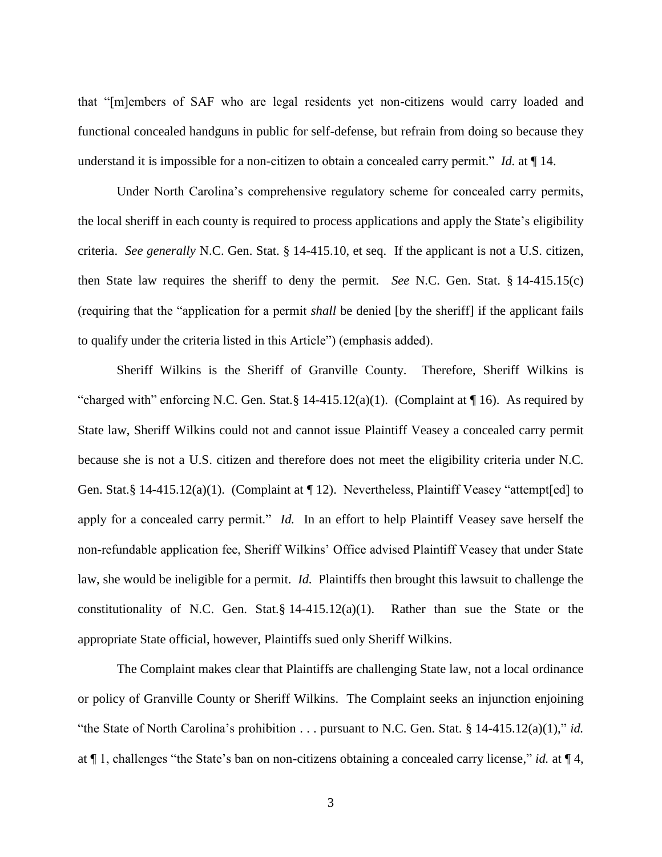that "[m]embers of SAF who are legal residents yet non-citizens would carry loaded and functional concealed handguns in public for self-defense, but refrain from doing so because they understand it is impossible for a non-citizen to obtain a concealed carry permit." *Id.* at ¶ 14.

Under North Carolina's comprehensive regulatory scheme for concealed carry permits, the local sheriff in each county is required to process applications and apply the State's eligibility criteria. *See generally* N.C. Gen. Stat. § 14-415.10, et seq. If the applicant is not a U.S. citizen, then State law requires the sheriff to deny the permit. *See* N.C. Gen. Stat. § 14-415.15(c) (requiring that the "application for a permit *shall* be denied [by the sheriff] if the applicant fails to qualify under the criteria listed in this Article") (emphasis added).

Sheriff Wilkins is the Sheriff of Granville County. Therefore, Sheriff Wilkins is "charged with" enforcing N.C. Gen. Stat. § 14-415.12(a)(1). (Complaint at  $\P$  16). As required by State law, Sheriff Wilkins could not and cannot issue Plaintiff Veasey a concealed carry permit because she is not a U.S. citizen and therefore does not meet the eligibility criteria under N.C. Gen. Stat.§ 14-415.12(a)(1). (Complaint at ¶ 12). Nevertheless, Plaintiff Veasey "attempt[ed] to apply for a concealed carry permit." *Id.* In an effort to help Plaintiff Veasey save herself the non-refundable application fee, Sheriff Wilkins' Office advised Plaintiff Veasey that under State law, she would be ineligible for a permit. *Id.* Plaintiffs then brought this lawsuit to challenge the constitutionality of N.C. Gen. Stat.§ 14-415.12(a)(1). Rather than sue the State or the appropriate State official, however, Plaintiffs sued only Sheriff Wilkins.

The Complaint makes clear that Plaintiffs are challenging State law, not a local ordinance or policy of Granville County or Sheriff Wilkins. The Complaint seeks an injunction enjoining "the State of North Carolina's prohibition . . . pursuant to N.C. Gen. Stat. § 14-415.12(a)(1)," *id.* at ¶ 1, challenges "the State's ban on non-citizens obtaining a concealed carry license," *id.* at ¶ 4,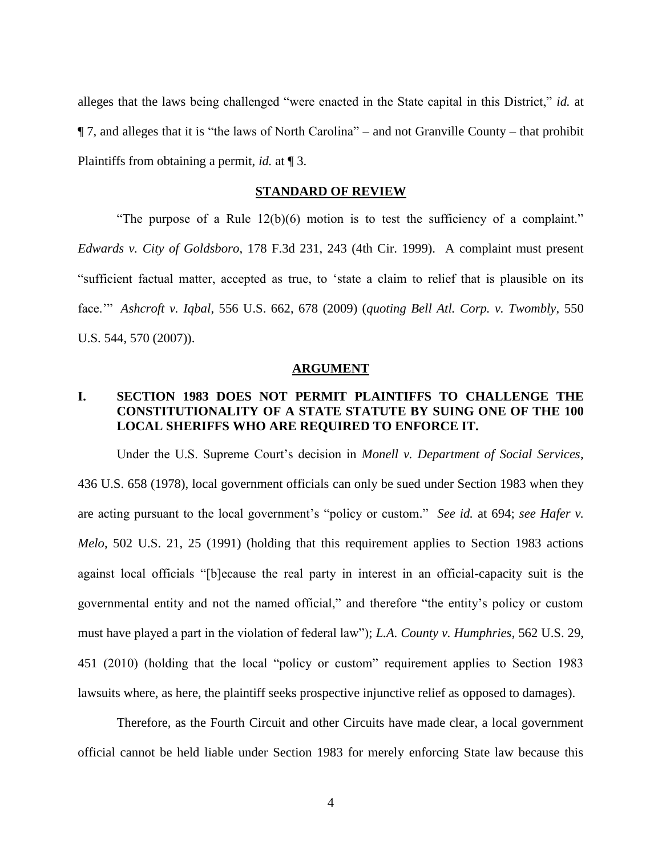alleges that the laws being challenged "were enacted in the State capital in this District," *id.* at ¶ 7, and alleges that it is "the laws of North Carolina" – and not Granville County – that prohibit Plaintiffs from obtaining a permit, *id.* at ¶ 3.

#### **STANDARD OF REVIEW**

"The purpose of a Rule 12(b)(6) motion is to test the sufficiency of a complaint." *Edwards v. City of Goldsboro*, 178 F.3d 231, 243 (4th Cir. 1999). A complaint must present "sufficient factual matter, accepted as true, to 'state a claim to relief that is plausible on its face.'" *Ashcroft v. Iqbal*, 556 U.S. 662, 678 (2009) (*quoting Bell Atl. Corp. v. Twombly*, 550 U.S. 544, 570 (2007)).

#### **ARGUMENT**

# **I. SECTION 1983 DOES NOT PERMIT PLAINTIFFS TO CHALLENGE THE CONSTITUTIONALITY OF A STATE STATUTE BY SUING ONE OF THE 100 LOCAL SHERIFFS WHO ARE REQUIRED TO ENFORCE IT.**

Under the U.S. Supreme Court's decision in *Monell v. Department of Social Services*, 436 U.S. 658 (1978), local government officials can only be sued under Section 1983 when they are acting pursuant to the local government's "policy or custom." *See id.* at 694; *see Hafer v. Melo*, 502 U.S. 21, 25 (1991) (holding that this requirement applies to Section 1983 actions against local officials "[b]ecause the real party in interest in an official-capacity suit is the governmental entity and not the named official," and therefore "the entity's policy or custom must have played a part in the violation of federal law"); *L.A. County v. Humphries*, 562 U.S. 29, 451 (2010) (holding that the local "policy or custom" requirement applies to Section 1983 lawsuits where, as here, the plaintiff seeks prospective injunctive relief as opposed to damages).

Therefore, as the Fourth Circuit and other Circuits have made clear, a local government official cannot be held liable under Section 1983 for merely enforcing State law because this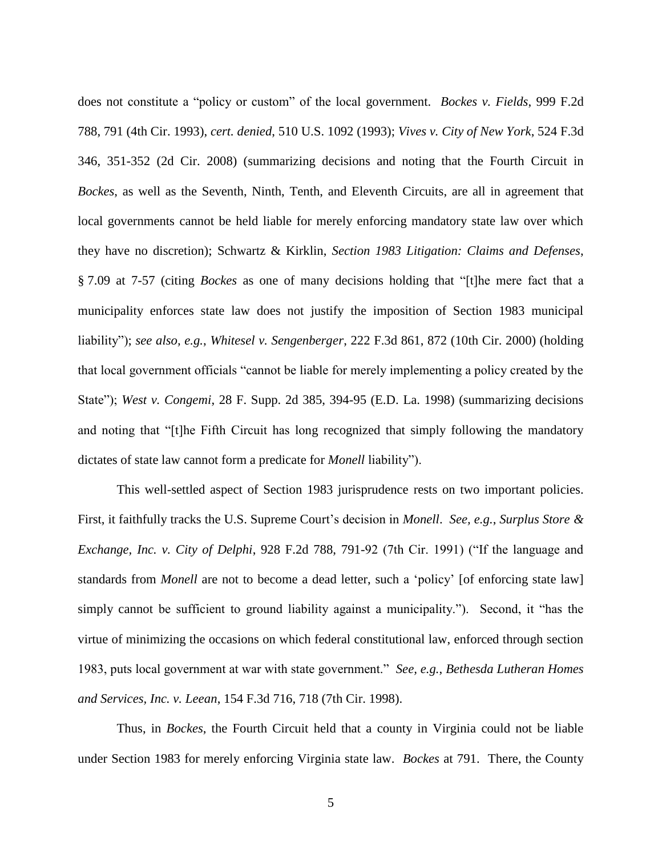does not constitute a "policy or custom" of the local government. *Bockes v. Fields*, 999 F.2d 788, 791 (4th Cir. 1993), *cert. denied*, 510 U.S. 1092 (1993); *Vives v. City of New York*, 524 F.3d 346, 351-352 (2d Cir. 2008) (summarizing decisions and noting that the Fourth Circuit in *Bockes*, as well as the Seventh, Ninth, Tenth, and Eleventh Circuits, are all in agreement that local governments cannot be held liable for merely enforcing mandatory state law over which they have no discretion); Schwartz & Kirklin, *Section 1983 Litigation: Claims and Defenses*, § 7.09 at 7-57 (citing *Bockes* as one of many decisions holding that "[t]he mere fact that a municipality enforces state law does not justify the imposition of Section 1983 municipal liability"); *see also, e.g.*, *Whitesel v. Sengenberger*, 222 F.3d 861, 872 (10th Cir. 2000) (holding that local government officials "cannot be liable for merely implementing a policy created by the State"); *West v. Congemi*, 28 F. Supp. 2d 385, 394-95 (E.D. La. 1998) (summarizing decisions and noting that "[t]he Fifth Circuit has long recognized that simply following the mandatory dictates of state law cannot form a predicate for *Monell* liability").

This well-settled aspect of Section 1983 jurisprudence rests on two important policies. First, it faithfully tracks the U.S. Supreme Court's decision in *Monell*. *See, e.g.*, *Surplus Store & Exchange, Inc. v. City of Delphi*, 928 F.2d 788, 791-92 (7th Cir. 1991) ("If the language and standards from *Monell* are not to become a dead letter, such a 'policy' [of enforcing state law] simply cannot be sufficient to ground liability against a municipality."). Second, it "has the virtue of minimizing the occasions on which federal constitutional law, enforced through section 1983, puts local government at war with state government." *See, e.g.*, *Bethesda Lutheran Homes and Services, Inc. v. Leean*, 154 F.3d 716, 718 (7th Cir. 1998).

Thus, in *Bockes*, the Fourth Circuit held that a county in Virginia could not be liable under Section 1983 for merely enforcing Virginia state law. *Bockes* at 791. There, the County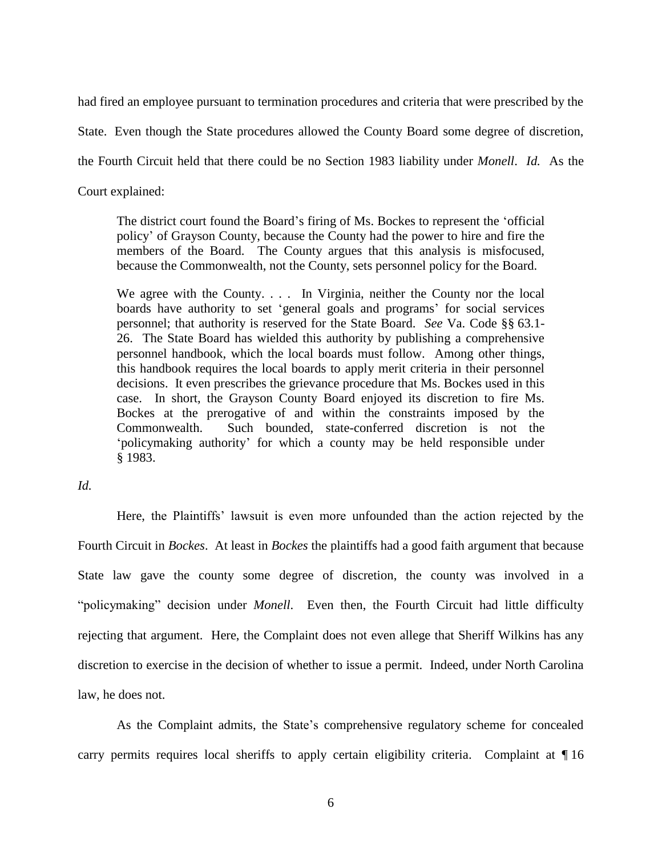had fired an employee pursuant to termination procedures and criteria that were prescribed by the

State. Even though the State procedures allowed the County Board some degree of discretion,

the Fourth Circuit held that there could be no Section 1983 liability under *Monell*. *Id.* As the

Court explained:

The district court found the Board's firing of Ms. Bockes to represent the 'official policy' of Grayson County, because the County had the power to hire and fire the members of the Board. The County argues that this analysis is misfocused, because the Commonwealth, not the County, sets personnel policy for the Board.

We agree with the County. . . . In Virginia, neither the County nor the local boards have authority to set 'general goals and programs' for social services personnel; that authority is reserved for the State Board. *See* Va. Code §§ 63.1- 26. The State Board has wielded this authority by publishing a comprehensive personnel handbook, which the local boards must follow. Among other things, this handbook requires the local boards to apply merit criteria in their personnel decisions. It even prescribes the grievance procedure that Ms. Bockes used in this case. In short, the Grayson County Board enjoyed its discretion to fire Ms. Bockes at the prerogative of and within the constraints imposed by the Commonwealth. Such bounded, state-conferred discretion is not the 'policymaking authority' for which a county may be held responsible under § 1983.

*Id.* 

Here, the Plaintiffs' lawsuit is even more unfounded than the action rejected by the Fourth Circuit in *Bockes*. At least in *Bockes* the plaintiffs had a good faith argument that because State law gave the county some degree of discretion, the county was involved in a "policymaking" decision under *Monell*. Even then, the Fourth Circuit had little difficulty rejecting that argument. Here, the Complaint does not even allege that Sheriff Wilkins has any discretion to exercise in the decision of whether to issue a permit. Indeed, under North Carolina law, he does not.

As the Complaint admits, the State's comprehensive regulatory scheme for concealed carry permits requires local sheriffs to apply certain eligibility criteria. Complaint at ¶ 16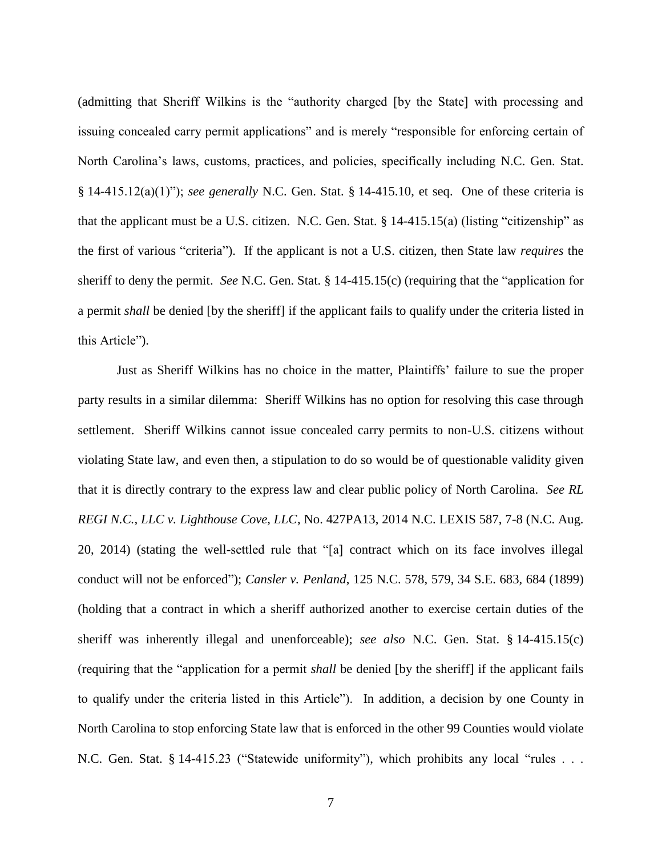(admitting that Sheriff Wilkins is the "authority charged [by the State] with processing and issuing concealed carry permit applications" and is merely "responsible for enforcing certain of North Carolina's laws, customs, practices, and policies, specifically including N.C. Gen. Stat. § 14-415.12(a)(1)"); *see generally* N.C. Gen. Stat. § 14-415.10, et seq. One of these criteria is that the applicant must be a U.S. citizen. N.C. Gen. Stat. § 14-415.15(a) (listing "citizenship" as the first of various "criteria"). If the applicant is not a U.S. citizen, then State law *requires* the sheriff to deny the permit. *See* N.C. Gen. Stat. § 14-415.15(c) (requiring that the "application for a permit *shall* be denied [by the sheriff] if the applicant fails to qualify under the criteria listed in this Article").

Just as Sheriff Wilkins has no choice in the matter, Plaintiffs' failure to sue the proper party results in a similar dilemma: Sheriff Wilkins has no option for resolving this case through settlement. Sheriff Wilkins cannot issue concealed carry permits to non-U.S. citizens without violating State law, and even then, a stipulation to do so would be of questionable validity given that it is directly contrary to the express law and clear public policy of North Carolina. *See RL REGI N.C., LLC v. Lighthouse Cove, LLC*, No. 427PA13, 2014 N.C. LEXIS 587, 7-8 (N.C. Aug. 20, 2014) (stating the well-settled rule that "[a] contract which on its face involves illegal conduct will not be enforced"); *Cansler v. Penland*, 125 N.C. 578, 579, 34 S.E. 683, 684 (1899) (holding that a contract in which a sheriff authorized another to exercise certain duties of the sheriff was inherently illegal and unenforceable); *see also* N.C. Gen. Stat. § 14-415.15(c) (requiring that the "application for a permit *shall* be denied [by the sheriff] if the applicant fails to qualify under the criteria listed in this Article"). In addition, a decision by one County in North Carolina to stop enforcing State law that is enforced in the other 99 Counties would violate N.C. Gen. Stat. § 14-415.23 ("Statewide uniformity"), which prohibits any local "rules . . .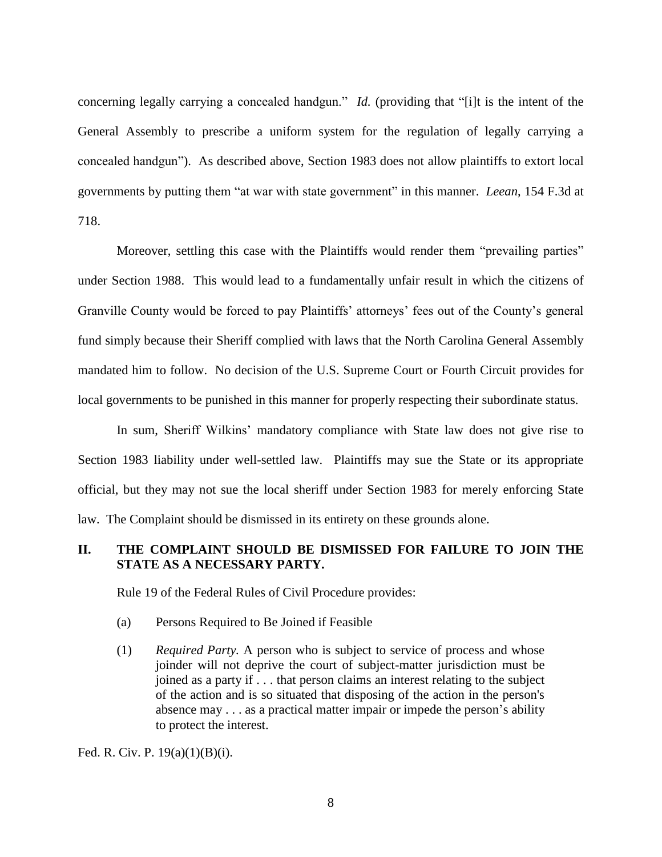concerning legally carrying a concealed handgun." *Id.* (providing that "[i]t is the intent of the General Assembly to prescribe a uniform system for the regulation of legally carrying a concealed handgun"). As described above, Section 1983 does not allow plaintiffs to extort local governments by putting them "at war with state government" in this manner. *Leean*, 154 F.3d at 718.

Moreover, settling this case with the Plaintiffs would render them "prevailing parties" under Section 1988. This would lead to a fundamentally unfair result in which the citizens of Granville County would be forced to pay Plaintiffs' attorneys' fees out of the County's general fund simply because their Sheriff complied with laws that the North Carolina General Assembly mandated him to follow. No decision of the U.S. Supreme Court or Fourth Circuit provides for local governments to be punished in this manner for properly respecting their subordinate status.

In sum, Sheriff Wilkins' mandatory compliance with State law does not give rise to Section 1983 liability under well-settled law. Plaintiffs may sue the State or its appropriate official, but they may not sue the local sheriff under Section 1983 for merely enforcing State law. The Complaint should be dismissed in its entirety on these grounds alone.

### **II. THE COMPLAINT SHOULD BE DISMISSED FOR FAILURE TO JOIN THE STATE AS A NECESSARY PARTY.**

Rule 19 of the Federal Rules of Civil Procedure provides:

- (a) Persons Required to Be Joined if Feasible
- (1) *Required Party.* A person who is subject to service of process and whose joinder will not deprive the court of subject-matter jurisdiction must be joined as a party if . . . that person claims an interest relating to the subject of the action and is so situated that disposing of the action in the person's absence may . . . as a practical matter impair or impede the person's ability to protect the interest.

Fed. R. Civ. P. 19(a)(1)(B)(i).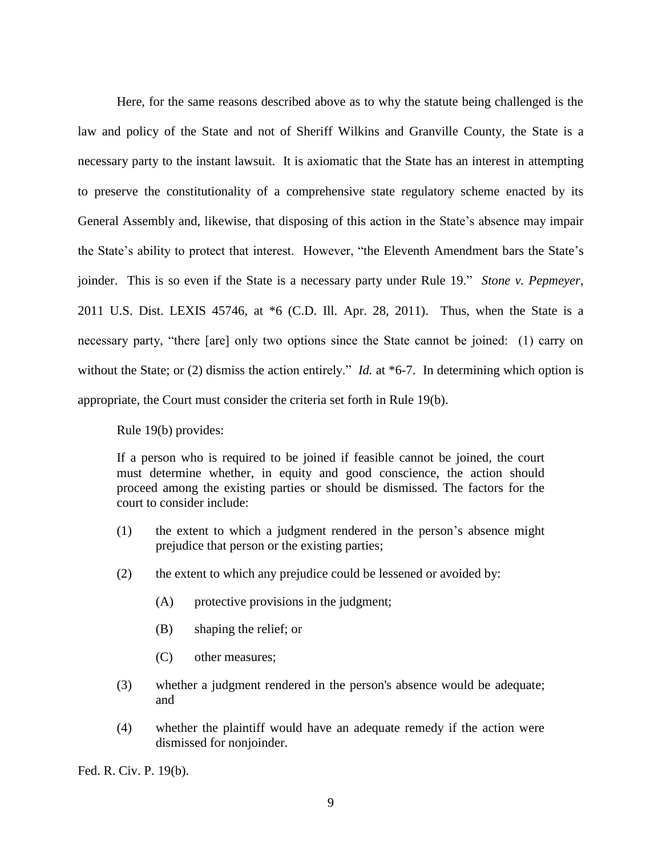Here, for the same reasons described above as to why the statute being challenged is the law and policy of the State and not of Sheriff Wilkins and Granville County, the State is a necessary party to the instant lawsuit. It is axiomatic that the State has an interest in attempting to preserve the constitutionality of a comprehensive state regulatory scheme enacted by its General Assembly and, likewise, that disposing of this action in the State's absence may impair the State's ability to protect that interest. However, "the Eleventh Amendment bars the State's joinder. This is so even if the State is a necessary party under Rule 19." *Stone v. Pepmeyer*, 2011 U.S. Dist. LEXIS 45746, at \*6 (C.D. Ill. Apr. 28, 2011). Thus, when the State is a necessary party, "there [are] only two options since the State cannot be joined: (1) carry on without the State; or (2) dismiss the action entirely." *Id.* at \*6-7. In determining which option is appropriate, the Court must consider the criteria set forth in Rule 19(b).

Rule 19(b) provides:

If a person who is required to be joined if feasible cannot be joined, the court must determine whether, in equity and good conscience, the action should proceed among the existing parties or should be dismissed. The factors for the court to consider include:

- (1) the extent to which a judgment rendered in the person's absence might prejudice that person or the existing parties;
- (2) the extent to which any prejudice could be lessened or avoided by:
	- (A) protective provisions in the judgment;
	- (B) shaping the relief; or
	- (C) other measures;
- (3) whether a judgment rendered in the person's absence would be adequate; and
- (4) whether the plaintiff would have an adequate remedy if the action were dismissed for nonjoinder.

Fed. R. Civ. P. 19(b).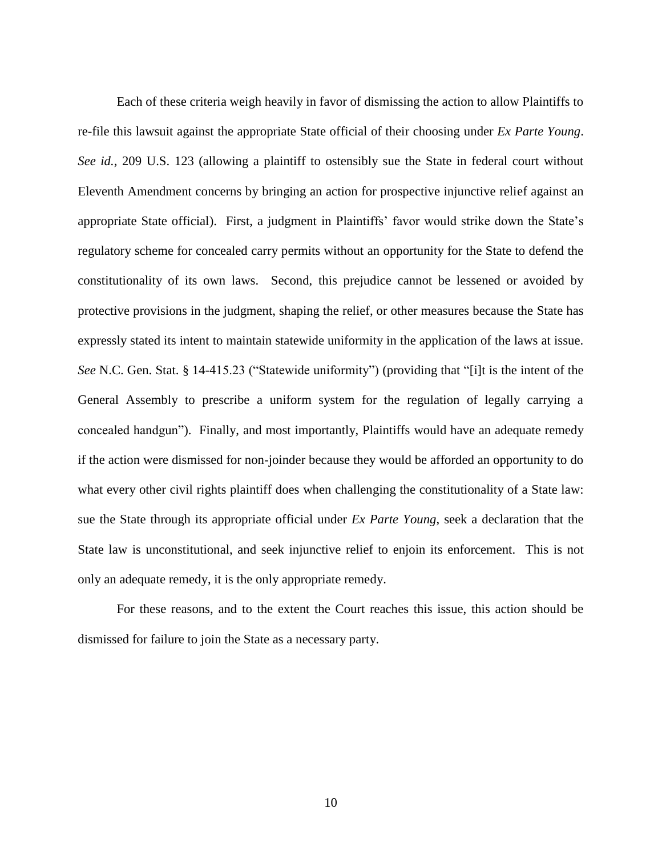Each of these criteria weigh heavily in favor of dismissing the action to allow Plaintiffs to re-file this lawsuit against the appropriate State official of their choosing under *Ex Parte Young*. *See id.*, 209 U.S. 123 (allowing a plaintiff to ostensibly sue the State in federal court without Eleventh Amendment concerns by bringing an action for prospective injunctive relief against an appropriate State official). First, a judgment in Plaintiffs' favor would strike down the State's regulatory scheme for concealed carry permits without an opportunity for the State to defend the constitutionality of its own laws. Second, this prejudice cannot be lessened or avoided by protective provisions in the judgment, shaping the relief, or other measures because the State has expressly stated its intent to maintain statewide uniformity in the application of the laws at issue. *See* N.C. Gen. Stat. § 14-415.23 ("Statewide uniformity") (providing that "[i]t is the intent of the General Assembly to prescribe a uniform system for the regulation of legally carrying a concealed handgun"). Finally, and most importantly, Plaintiffs would have an adequate remedy if the action were dismissed for non-joinder because they would be afforded an opportunity to do what every other civil rights plaintiff does when challenging the constitutionality of a State law: sue the State through its appropriate official under *Ex Parte Young*, seek a declaration that the State law is unconstitutional, and seek injunctive relief to enjoin its enforcement. This is not only an adequate remedy, it is the only appropriate remedy.

For these reasons, and to the extent the Court reaches this issue, this action should be dismissed for failure to join the State as a necessary party.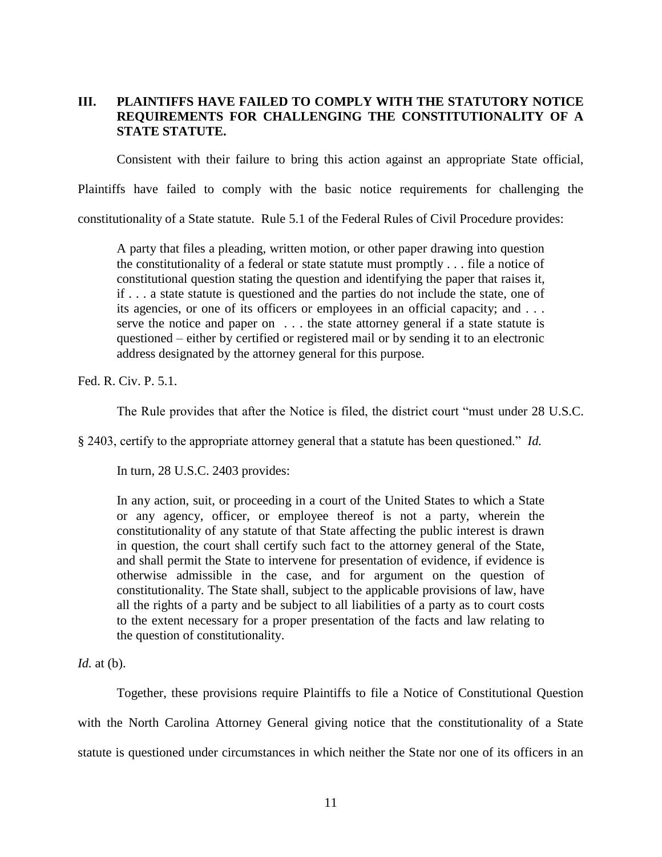## **III. PLAINTIFFS HAVE FAILED TO COMPLY WITH THE STATUTORY NOTICE REQUIREMENTS FOR CHALLENGING THE CONSTITUTIONALITY OF A STATE STATUTE.**

Consistent with their failure to bring this action against an appropriate State official,

Plaintiffs have failed to comply with the basic notice requirements for challenging the

constitutionality of a State statute. Rule 5.1 of the Federal Rules of Civil Procedure provides:

A party that files a pleading, written motion, or other paper drawing into question the constitutionality of a federal or state statute must promptly . . . file a notice of constitutional question stating the question and identifying the paper that raises it, if . . . a state statute is questioned and the parties do not include the state, one of its agencies, or one of its officers or employees in an official capacity; and . . . serve the notice and paper on . . . the state attorney general if a state statute is questioned – either by certified or registered mail or by sending it to an electronic address designated by the attorney general for this purpose.

Fed. R. Civ. P. 5.1.

The Rule provides that after the Notice is filed, the district court "must under 28 U.S.C.

§ 2403, certify to the appropriate attorney general that a statute has been questioned." *Id.*

In turn, 28 U.S.C. 2403 provides:

In any action, suit, or proceeding in a court of the United States to which a State or any agency, officer, or employee thereof is not a party, wherein the constitutionality of any statute of that State affecting the public interest is drawn in question, the court shall certify such fact to the attorney general of the State, and shall permit the State to intervene for presentation of evidence, if evidence is otherwise admissible in the case, and for argument on the question of constitutionality. The State shall, subject to the applicable provisions of law, have all the rights of a party and be subject to all liabilities of a party as to court costs to the extent necessary for a proper presentation of the facts and law relating to the question of constitutionality.

*Id.* at (b).

Together, these provisions require Plaintiffs to file a Notice of Constitutional Question with the North Carolina Attorney General giving notice that the constitutionality of a State statute is questioned under circumstances in which neither the State nor one of its officers in an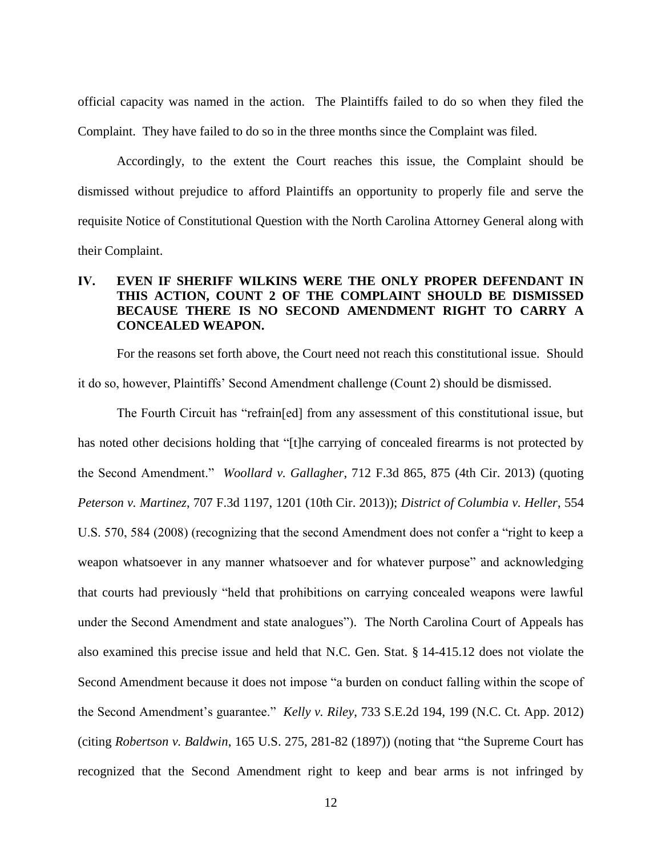official capacity was named in the action. The Plaintiffs failed to do so when they filed the Complaint. They have failed to do so in the three months since the Complaint was filed.

Accordingly, to the extent the Court reaches this issue, the Complaint should be dismissed without prejudice to afford Plaintiffs an opportunity to properly file and serve the requisite Notice of Constitutional Question with the North Carolina Attorney General along with their Complaint.

# **IV. EVEN IF SHERIFF WILKINS WERE THE ONLY PROPER DEFENDANT IN THIS ACTION, COUNT 2 OF THE COMPLAINT SHOULD BE DISMISSED BECAUSE THERE IS NO SECOND AMENDMENT RIGHT TO CARRY A CONCEALED WEAPON.**

For the reasons set forth above, the Court need not reach this constitutional issue. Should it do so, however, Plaintiffs' Second Amendment challenge (Count 2) should be dismissed.

The Fourth Circuit has "refrain[ed] from any assessment of this constitutional issue, but has noted other decisions holding that "[t]he carrying of concealed firearms is not protected by the Second Amendment." *Woollard v. Gallagher*, 712 F.3d 865, 875 (4th Cir. 2013) (quoting *Peterson v. Martinez*, 707 F.3d 1197, 1201 (10th Cir. 2013)); *District of Columbia v. Heller*, 554 U.S. 570, 584 (2008) (recognizing that the second Amendment does not confer a "right to keep a weapon whatsoever in any manner whatsoever and for whatever purpose" and acknowledging that courts had previously "held that prohibitions on carrying concealed weapons were lawful under the Second Amendment and state analogues"). The North Carolina Court of Appeals has also examined this precise issue and held that N.C. Gen. Stat. § 14-415.12 does not violate the Second Amendment because it does not impose "a burden on conduct falling within the scope of the Second Amendment's guarantee." *Kelly v. Riley*, 733 S.E.2d 194, 199 (N.C. Ct. App. 2012) (citing *Robertson v. Baldwin*, 165 U.S. 275, 281-82 (1897)) (noting that "the Supreme Court has recognized that the Second Amendment right to keep and bear arms is not infringed by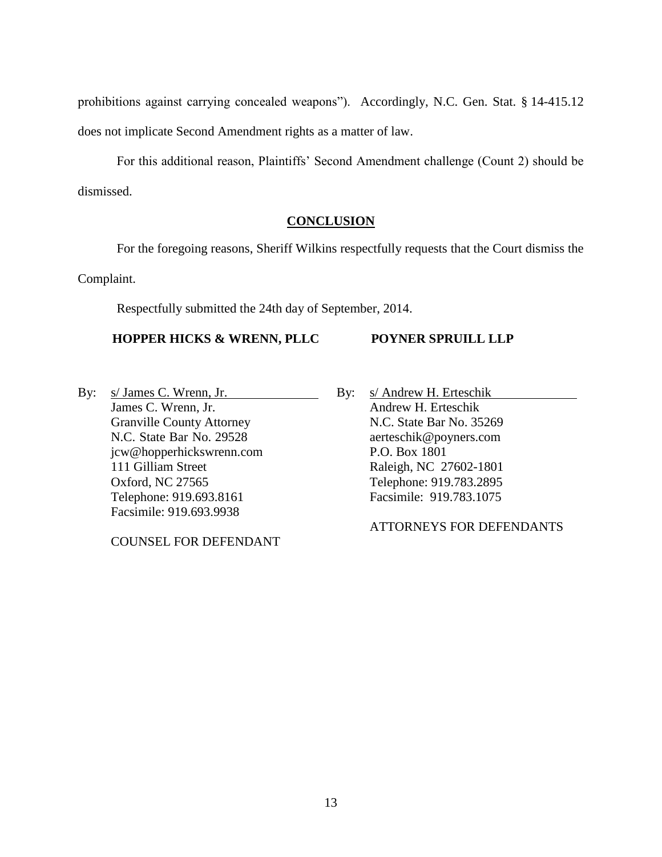prohibitions against carrying concealed weapons"). Accordingly, N.C. Gen. Stat. § 14-415.12 does not implicate Second Amendment rights as a matter of law.

For this additional reason, Plaintiffs' Second Amendment challenge (Count 2) should be dismissed.

### **CONCLUSION**

For the foregoing reasons, Sheriff Wilkins respectfully requests that the Court dismiss the

Complaint.

Respectfully submitted the 24th day of September, 2014.

# **HOPPER HICKS & WRENN, PLLC**

### **POYNER SPRUILL LLP**

By: s/ James C. Wrenn, Jr. James C. Wrenn, Jr. Granville County Attorney N.C. State Bar No. 29528 jcw@hopperhickswrenn.com 111 Gilliam Street Oxford, NC 27565 Telephone: 919.693.8161 Facsimile: 919.693.9938

COUNSEL FOR DEFENDANT

By: s/ Andrew H. Erteschik Andrew H. Erteschik N.C. State Bar No. 35269 aerteschik@poyners.com P.O. Box 1801 Raleigh, NC 27602-1801 Telephone: 919.783.2895 Facsimile: 919.783.1075

ATTORNEYS FOR DEFENDANTS